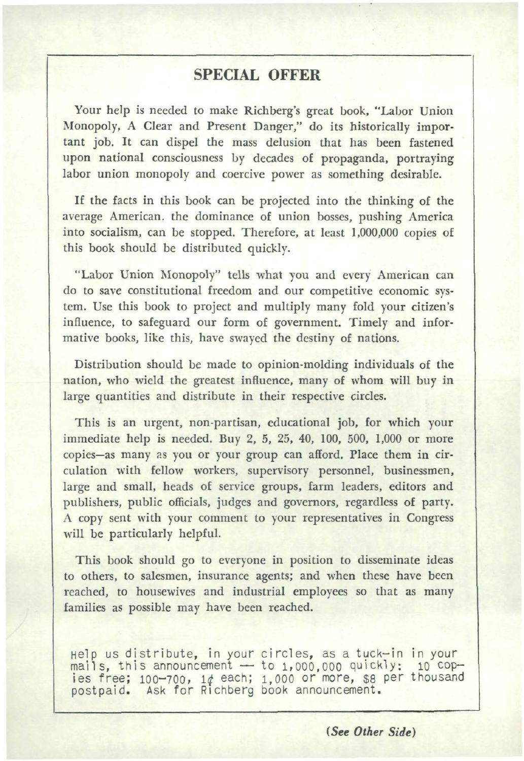## **SPECIAL OFFER**

Your help is needed to make Richberg's great book, "Labor Union Monopoly, A Clear and Present Danger," do its historically impor· tant job. It can dispel the mass delusion that has been fastened upon national consciousness by decades of propaganda, portraying labor union monopoly and coercive power as something desirable.

If the facts in this book can be projected into the thinking of the average American. the dominance of union bosses, pushing America into socialism, can be stopped. Therefore, at least 1,000,000 copies of this book should be distributed quickly.

"Labor Union Monopoly" tells what you and every American can do to save constitutional freedom and our competitive economic sys· tern. Use this book to project and multiply many fold your citizen's influence, to safeguard our form of government. Timely and infor· mative books, like this, have swayed the destiny of nations.

Distribution should be made to opinion-molding individuals of the nation, who wield the greatest influence, many of whom will buy in large quantities and distribute in their respective circles.

This is an urgent, non-partisan, educational job, for which your immediate help is needed. Buy 2, 5, 25, 40, 100, 500, 1,000 or more copies-as many 2s you or your group can afiord. Place them in cir· culation with fellow workers, supervisory personnel, businessmen, large and small, heads of service groups, farm leaders, editors and publishers, public officials, judges and governors, regardless of party. A copy sent with your comment to your representatives in Congress will be particularly helpful.

This book should go to everyone in position to disseminate ideas to others, to salesmen, insurance agents; and when these have been reached, to housewives and industrial employees so that as many families as possible may have been reached.

Help us distribute, in your circles, as a tuck-in in your<br>mails, this announcement -- to 1,000,000 quickly; 10 cop-<br>ies free; 100-700, 1¢ each; 1,000 or more, \$8 per thousand<br>postpaid. Ask for Richberg book announcement.